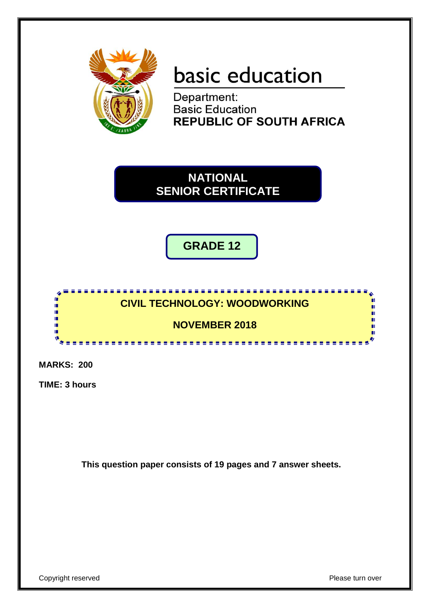

# basic education

Department: **Basic Education REPUBLIC OF SOUTH AFRICA** 

**NATIONAL SENIOR CERTIFICATE**

**GRADE 12**



**MARKS: 200**

**TIME: 3 hours**

**This question paper consists of 19 pages and 7 answer sheets.**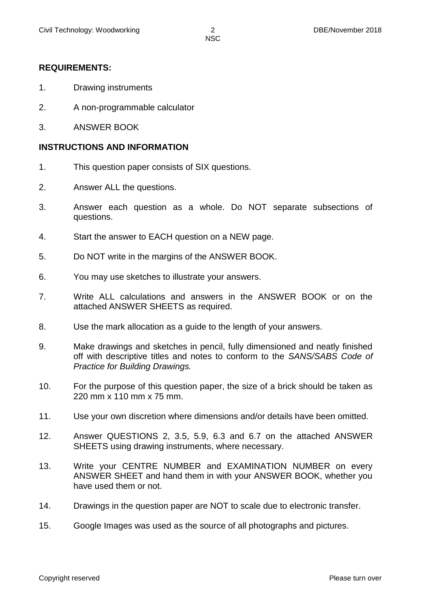#### **REQUIREMENTS:**

- 1. Drawing instruments
- 2. A non-programmable calculator
- 3. ANSWER BOOK

#### **INSTRUCTIONS AND INFORMATION**

- 1. This question paper consists of SIX questions.
- 2. Answer ALL the questions.
- 3. Answer each question as a whole. Do NOT separate subsections of questions.
- 4. Start the answer to EACH question on a NEW page.
- 5. Do NOT write in the margins of the ANSWER BOOK.
- 6. You may use sketches to illustrate your answers.
- 7. Write ALL calculations and answers in the ANSWER BOOK or on the attached ANSWER SHEETS as required.
- 8. Use the mark allocation as a guide to the length of your answers.
- 9. Make drawings and sketches in pencil, fully dimensioned and neatly finished off with descriptive titles and notes to conform to the *SANS/SABS Code of Practice for Building Drawings.*
- 10. For the purpose of this question paper, the size of a brick should be taken as 220 mm x 110 mm x 75 mm.
- 11. Use your own discretion where dimensions and/or details have been omitted.
- 12. Answer QUESTIONS 2, 3.5, 5.9, 6.3 and 6.7 on the attached ANSWER SHEETS using drawing instruments, where necessary.
- 13. Write your CENTRE NUMBER and EXAMINATION NUMBER on every ANSWER SHEET and hand them in with your ANSWER BOOK, whether you have used them or not.
- 14. Drawings in the question paper are NOT to scale due to electronic transfer.
- 15. Google Images was used as the source of all photographs and pictures.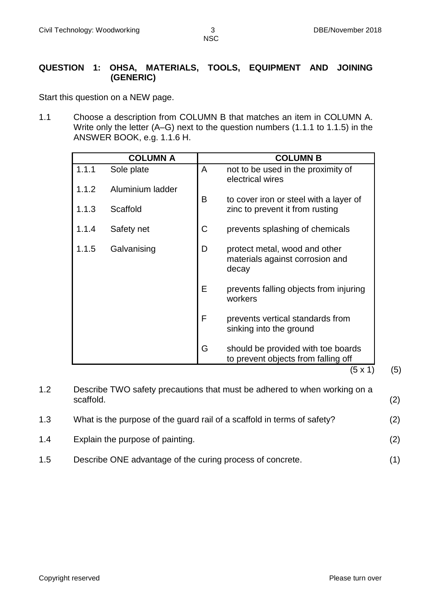#### **QUESTION 1: OHSA, MATERIALS, TOOLS, EQUIPMENT AND JOINING (GENERIC)**

Start this question on a NEW page.

1.1 Choose a description from COLUMN B that matches an item in COLUMN A. Write only the letter (A–G) next to the question numbers (1.1.1 to 1.1.5) in the ANSWER BOOK, e.g. 1.1.6 H.

| <b>COLUMN B</b>                                                           |   | <b>COLUMN A</b>  |       |
|---------------------------------------------------------------------------|---|------------------|-------|
| not to be used in the proximity of<br>electrical wires                    | A | Sole plate       | 1.1.1 |
| to cover iron or steel with a layer of                                    | B | Aluminium ladder | 1.1.2 |
| zinc to prevent it from rusting                                           |   | Scaffold         | 1.1.3 |
| prevents splashing of chemicals                                           | C | Safety net       | 1.1.4 |
| protect metal, wood and other<br>materials against corrosion and          | D | Galvanising      | 1.1.5 |
| prevents falling objects from injuring                                    | E |                  |       |
| prevents vertical standards from<br>sinking into the ground               | F |                  |       |
| should be provided with toe boards<br>to prevent objects from falling off | G |                  |       |
|                                                                           |   |                  |       |

1.2 Describe TWO safety precautions that must be adhered to when working on a scaffold. (2) 1.3 What is the purpose of the guard rail of a scaffold in terms of safety? (2) 1.4 Explain the purpose of painting. (2) 1.5 Describe ONE advantage of the curing process of concrete. (1)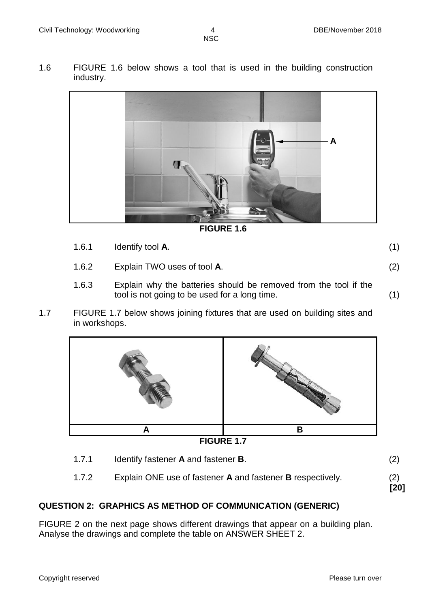1.6 FIGURE 1.6 below shows a tool that is used in the building construction industry.



**FIGURE 1.6**

- 1.6.1 Identify tool **A**. (1) 1.6.2 Explain TWO uses of tool **A**. (2)
- 1.6.3 Explain why the batteries should be removed from the tool if the tool is not going to be used for a long time. (1)
- 1.7 FIGURE 1.7 below shows joining fixtures that are used on building sites and in workshops.



1.7.1 Identify fastener **A** and fastener **B**. (2) 1.7.2 Explain ONE use of fastener **A** and fastener **B** respectively. (2) **[20]**

# **QUESTION 2: GRAPHICS AS METHOD OF COMMUNICATION (GENERIC)**

FIGURE 2 on the next page shows different drawings that appear on a building plan. Analyse the drawings and complete the table on ANSWER SHEET 2.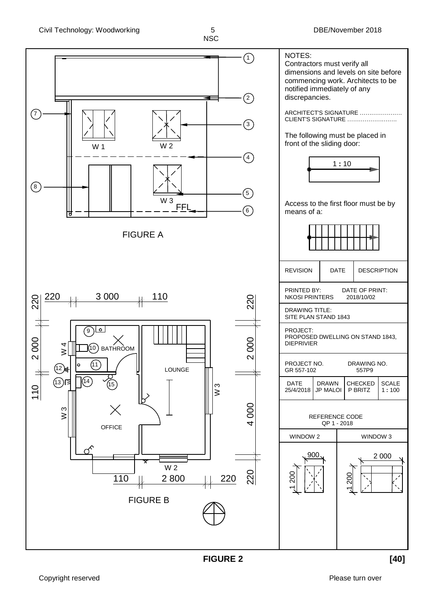

**FIGURE 2 [40]**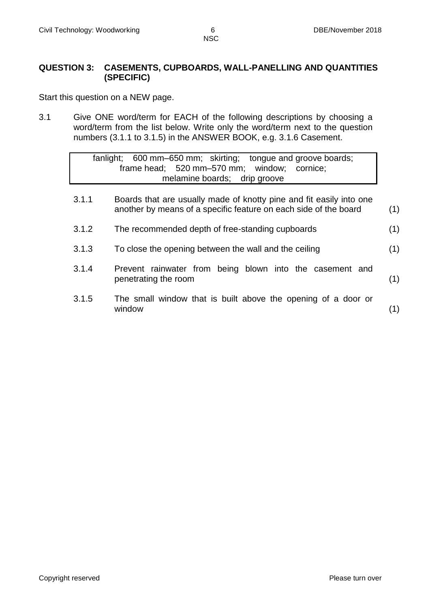#### **QUESTION 3: CASEMENTS, CUPBOARDS, WALL-PANELLING AND QUANTITIES (SPECIFIC)**

Start this question on a NEW page.

3.1 Give ONE word/term for EACH of the following descriptions by choosing a word/term from the list below. Write only the word/term next to the question numbers (3.1.1 to 3.1.5) in the ANSWER BOOK, e.g. 3.1.6 Casement.

|  |  |                                             | fanlight; 600 mm–650 mm; skirting; tongue and groove boards; |  |
|--|--|---------------------------------------------|--------------------------------------------------------------|--|
|  |  | frame head; 520 mm-570 mm; window; cornice; |                                                              |  |
|  |  | melamine boards; drip groove                |                                                              |  |
|  |  |                                             |                                                              |  |

- 3.1.1 Boards that are usually made of knotty pine and fit easily into one another by means of a specific feature on each side of the board (1)
- 3.1.2 The recommended depth of free-standing cupboards (1)
- 3.1.3 To close the opening between the wall and the ceiling (1)
- 3.1.4 Prevent rainwater from being blown into the casement and penetrating the room (1)
- 3.1.5 The small window that is built above the opening of a door or window (1)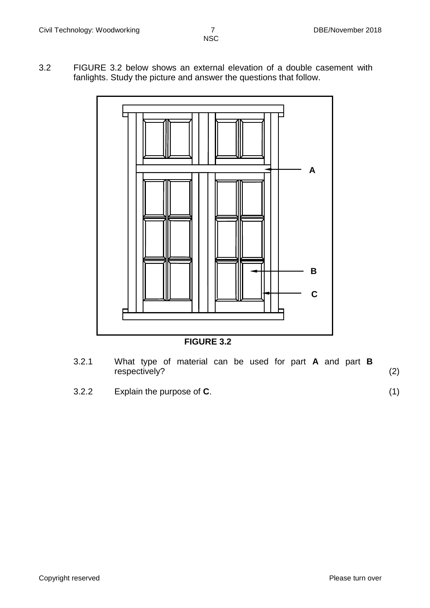3.2 FIGURE 3.2 below shows an external elevation of a double casement with fanlights. Study the picture and answer the questions that follow.





- 3.2.1 What type of material can be used for part **A** and part **B** respectively? (2)
- 3.2.2 Explain the purpose of **C**. (1)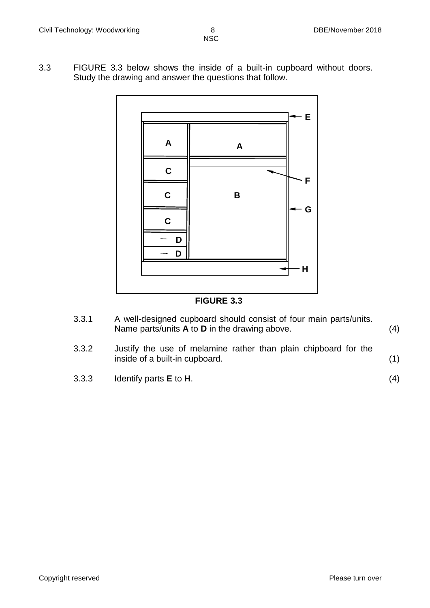3.3 FIGURE 3.3 below shows the inside of a built-in cupboard without doors. Study the drawing and answer the questions that follow.



**FIGURE 3.3**

- 3.3.1 A well-designed cupboard should consist of four main parts/units. Name parts/units **A** to **D** in the drawing above. (4)
- 3.3.2 Justify the use of melamine rather than plain chipboard for the inside of a built-in cupboard. (1)
- 3.3.3 Identify parts **E** to **H**. (4)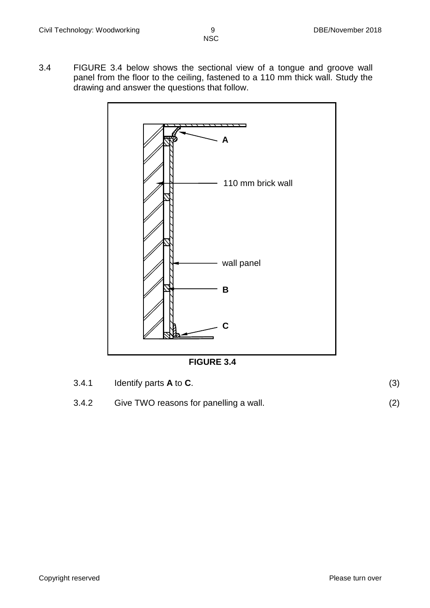3.4 FIGURE 3.4 below shows the sectional view of a tongue and groove wall panel from the floor to the ceiling, fastened to a 110 mm thick wall. Study the drawing and answer the questions that follow.



**FIGURE 3.4**

| 3.4.1 | Identify parts $A$ to $C$ .            |  |
|-------|----------------------------------------|--|
| 3.4.2 | Give TWO reasons for panelling a wall. |  |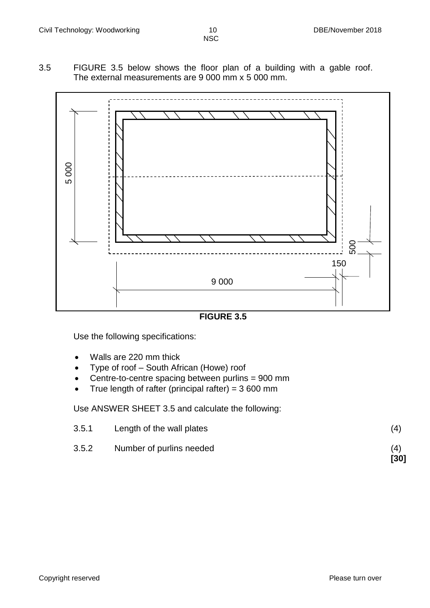3.5 FIGURE 3.5 below shows the floor plan of a building with a gable roof. The external measurements are 9 000 mm x 5 000 mm.



**FIGURE 3.5**

Use the following specifications:

- Walls are 220 mm thick
- Type of roof South African (Howe) roof
- Centre-to-centre spacing between purlins = 900 mm
- True length of rafter (principal rafter) =  $3600$  mm

Use ANSWER SHEET 3.5 and calculate the following:

| 3.5.2 | Number of purlins needed  | (4)<br>[30] |
|-------|---------------------------|-------------|
| 3.5.1 | Length of the wall plates | (4)         |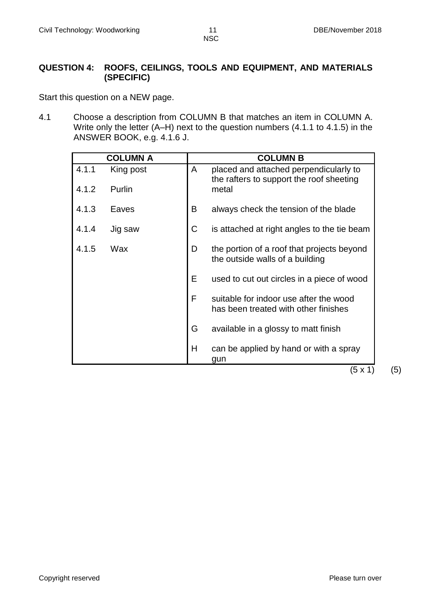#### **QUESTION 4: ROOFS, CEILINGS, TOOLS AND EQUIPMENT, AND MATERIALS (SPECIFIC)**

Start this question on a NEW page.

4.1 Choose a description from COLUMN B that matches an item in COLUMN A. Write only the letter (A–H) next to the question numbers (4.1.1 to 4.1.5) in the ANSWER BOOK, e.g. 4.1.6 J.

| <b>COLUMN A</b>    |   | <b>COLUMN B</b>                                                                    |
|--------------------|---|------------------------------------------------------------------------------------|
| 4.1.1<br>King post | A | placed and attached perpendicularly to<br>the rafters to support the roof sheeting |
| 4.1.2<br>Purlin    |   | metal                                                                              |
| 4.1.3<br>Eaves     | B | always check the tension of the blade                                              |
| 4.1.4<br>Jig saw   | C | is attached at right angles to the tie beam                                        |
| 4.1.5<br>Wax       | D | the portion of a roof that projects beyond<br>the outside walls of a building      |
|                    | E | used to cut out circles in a piece of wood                                         |
|                    | F | suitable for indoor use after the wood<br>has been treated with other finishes     |
|                    | G | available in a glossy to matt finish                                               |
|                    | Η | can be applied by hand or with a spray<br>gun                                      |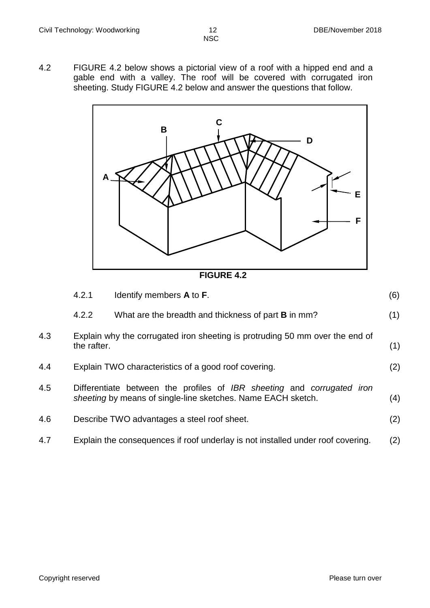4.2 FIGURE 4.2 below shows a pictorial view of a roof with a hipped end and a gable end with a valley. The roof will be covered with corrugated iron sheeting. Study FIGURE 4.2 below and answer the questions that follow.



| <b>FIGURE 4.2</b> |  |
|-------------------|--|
|-------------------|--|

|     | 4.2.1       | Identify members A to F.                                                                                                               | (6) |
|-----|-------------|----------------------------------------------------------------------------------------------------------------------------------------|-----|
|     | 4.2.2       | What are the breadth and thickness of part <b>B</b> in mm?                                                                             | (1) |
| 4.3 | the rafter. | Explain why the corrugated iron sheeting is protruding 50 mm over the end of                                                           | (1) |
| 4.4 |             | Explain TWO characteristics of a good roof covering.                                                                                   | (2) |
| 4.5 |             | Differentiate between the profiles of IBR sheeting and corrugated iron<br>sheeting by means of single-line sketches. Name EACH sketch. | (4) |
| 4.6 |             | Describe TWO advantages a steel roof sheet.                                                                                            | (2) |
| 4.7 |             | Explain the consequences if roof underlay is not installed under roof covering.                                                        | (2) |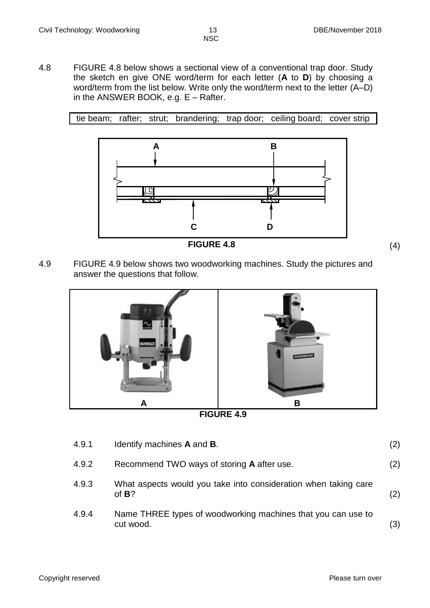4.8 FIGURE 4.8 below shows a sectional view of a conventional trap door. Study the sketch en give ONE word/term for each letter (**A** to **D**) by choosing a word/term from the list below. Write only the word/term next to the letter (A–D) in the ANSWER BOOK, e.g. E – Rafter.

tie beam; rafter; strut; brandering; trap door; ceiling board; cover strip





4.9 FIGURE 4.9 below shows two woodworking machines. Study the pictures and answer the questions that follow.





| 4.9.1 | Identify machines A and B.                                                  | (2) |
|-------|-----------------------------------------------------------------------------|-----|
| 4.9.2 | Recommend TWO ways of storing A after use.                                  | (2) |
| 4.9.3 | What aspects would you take into consideration when taking care<br>of $B$ ? | (2) |
| 4.9.4 | Name THREE types of woodworking machines that you can use to<br>cut wood.   | (3) |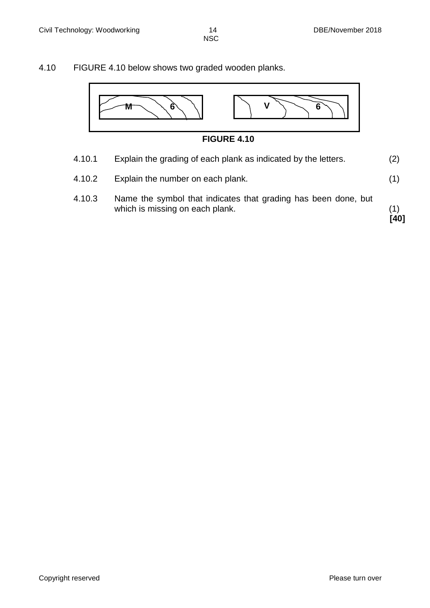#### 4.10 FIGURE 4.10 below shows two graded wooden planks.



- 
- 4.10.1 Explain the grading of each plank as indicated by the letters. (2)
- 4.10.2 Explain the number on each plank. (1)
- 4.10.3 Name the symbol that indicates that grading has been done, but which is missing on each plank. (1)

**[40]**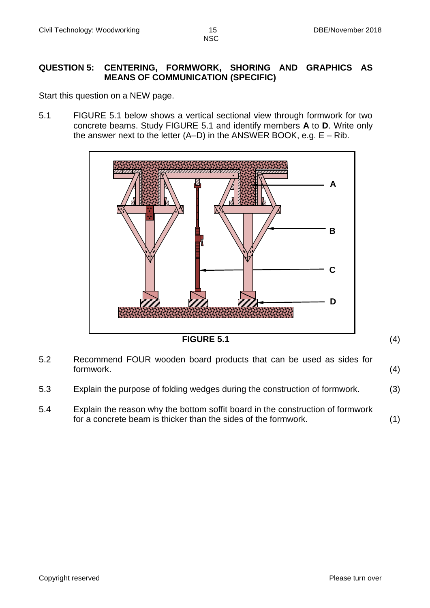#### **QUESTION 5: CENTERING, FORMWORK, SHORING AND GRAPHICS AS MEANS OF COMMUNICATION (SPECIFIC)**

Start this question on a NEW page.

5.1 FIGURE 5.1 below shows a vertical sectional view through formwork for two concrete beams. Study FIGURE 5.1 and identify members **A** to **D**. Write only the answer next to the letter  $(A-D)$  in the ANSWER BOOK, e.g.  $E - Rib$ .





- 5.3 Explain the purpose of folding wedges during the construction of formwork. (3)
- 5.4 Explain the reason why the bottom soffit board in the construction of formwork for a concrete beam is thicker than the sides of the formwork. (1)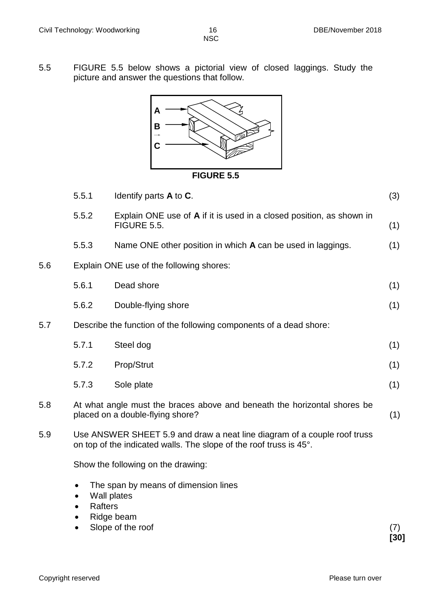5.5 FIGURE 5.5 below shows a pictorial view of closed laggings. Study the picture and answer the questions that follow.



#### **FIGURE 5.5**

|     | 5.5.1                       | Identify parts A to C.                                                                                                                         | (3) |
|-----|-----------------------------|------------------------------------------------------------------------------------------------------------------------------------------------|-----|
|     | 5.5.2                       | Explain ONE use of A if it is used in a closed position, as shown in<br>FIGURE 5.5.                                                            | (1) |
|     | 5.5.3                       | Name ONE other position in which A can be used in laggings.                                                                                    | (1) |
| 5.6 |                             | Explain ONE use of the following shores:                                                                                                       |     |
|     | 5.6.1                       | Dead shore                                                                                                                                     | (1) |
|     | 5.6.2                       | Double-flying shore                                                                                                                            | (1) |
| 5.7 |                             | Describe the function of the following components of a dead shore:                                                                             |     |
|     | 5.7.1                       | Steel dog                                                                                                                                      | (1) |
|     | 5.7.2                       | Prop/Strut                                                                                                                                     | (1) |
|     | 5.7.3                       | Sole plate                                                                                                                                     | (1) |
| 5.8 |                             | At what angle must the braces above and beneath the horizontal shores be<br>placed on a double-flying shore?                                   | (1) |
| 5.9 |                             | Use ANSWER SHEET 5.9 and draw a neat line diagram of a couple roof truss<br>on top of the indicated walls. The slope of the roof truss is 45°. |     |
|     |                             | Show the following on the drawing:                                                                                                             |     |
|     | $\bullet$<br><b>Rafters</b> | The span by means of dimension lines<br>Wall plates                                                                                            |     |

- Ridge beam
- Slope of the roof (7)

**[30]**

Copyright reserved **Please** turn over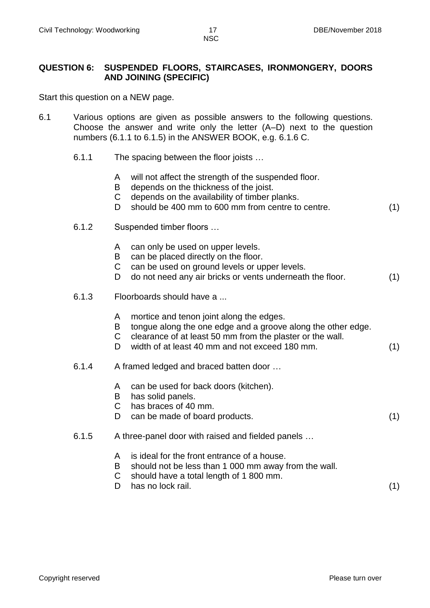#### **QUESTION 6: SUSPENDED FLOORS, STAIRCASES, IRONMONGERY, DOORS AND JOINING (SPECIFIC)**

Start this question on a NEW page.

- 6.1 Various options are given as possible answers to the following questions. Choose the answer and write only the letter (A–D) next to the question numbers (6.1.1 to 6.1.5) in the ANSWER BOOK, e.g. 6.1.6 C.
	- 6.1.1 The spacing between the floor joists …
		- A will not affect the strength of the suspended floor.
		- B depends on the thickness of the joist.
		- C depends on the availability of timber planks.
		- D should be 400 mm to 600 mm from centre to centre. (1)
	- 6.1.2 Suspended timber floors …
		- A can only be used on upper levels.
		- B can be placed directly on the floor.
		- C can be used on ground levels or upper levels.
		- D do not need any air bricks or vents underneath the floor. (1)
	- 6.1.3 Floorboards should have a ...
		- A mortice and tenon joint along the edges.
		- B tongue along the one edge and a groove along the other edge.
		- C clearance of at least 50 mm from the plaster or the wall.
		- D width of at least 40 mm and not exceed 180 mm. (1)
	- 6.1.4 A framed ledged and braced batten door …
		- A can be used for back doors (kitchen).
		- B has solid panels.
		- C has braces of 40 mm.
		- D can be made of board products. (1)
	- 6.1.5 A three-panel door with raised and fielded panels …
		- A is ideal for the front entrance of a house.
		- B should not be less than 1 000 mm away from the wall.
		- C should have a total length of 1 800 mm.
		- D has no lock rail. (1)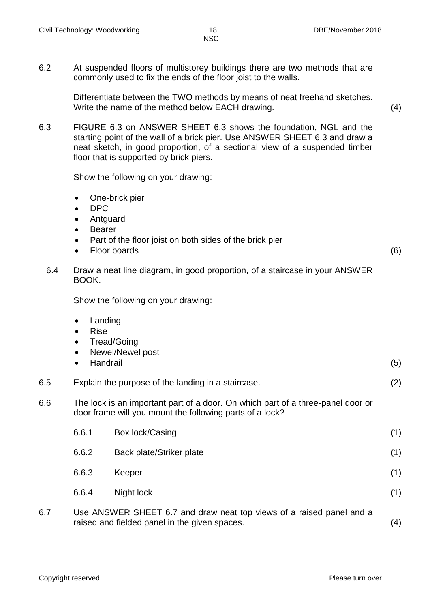6.2 At suspended floors of multistorey buildings there are two methods that are commonly used to fix the ends of the floor joist to the walls.

> Differentiate between the TWO methods by means of neat freehand sketches. Write the name of the method below EACH drawing. (4)

6.3 FIGURE 6.3 on ANSWER SHEET 6.3 shows the foundation, NGL and the starting point of the wall of a brick pier. Use ANSWER SHEET 6.3 and draw a neat sketch, in good proportion, of a sectional view of a suspended timber floor that is supported by brick piers.

Show the following on your drawing:

- One-brick pier
- DPC
- Antguard
- Bearer
- Part of the floor joist on both sides of the brick pier
- Floor boards (6)

6.4 Draw a neat line diagram, in good proportion, of a staircase in your ANSWER BOOK.

Show the following on your drawing:

- Landing
- Rise
- Tread/Going
- Newel/Newel post
- Handrail (5)

6.5 Explain the purpose of the landing in a staircase. (2)

6.6 The lock is an important part of a door. On which part of a three-panel door or door frame will you mount the following parts of a lock?

| 6.6.1 | Box lock/Casing          | (1) |
|-------|--------------------------|-----|
| 6.6.2 | Back plate/Striker plate | (1) |
| 6.6.3 | Keeper                   | (1) |
| 6.6.4 | Night lock               | (1) |
|       |                          |     |

6.7 Use ANSWER SHEET 6.7 and draw neat top views of a raised panel and a raised and fielded panel in the given spaces. (4)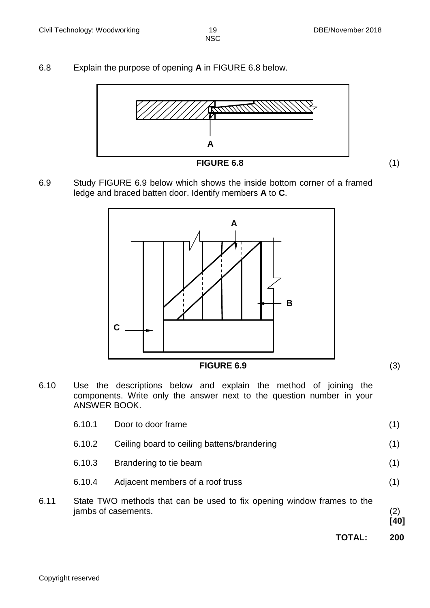6.8 Explain the purpose of opening **A** in FIGURE 6.8 below.



6.9 Study FIGURE 6.9 below which shows the inside bottom corner of a framed ledge and braced batten door. Identify members **A** to **C**.



- 
- 6.10 Use the descriptions below and explain the method of joining the components. Write only the answer next to the question number in your ANSWER BOOK.

|      |        | TOTAL:                                                                                        | 200         |
|------|--------|-----------------------------------------------------------------------------------------------|-------------|
| 6.11 |        | State TWO methods that can be used to fix opening window frames to the<br>jambs of casements. | (2)<br>[40] |
|      | 6.10.4 | Adjacent members of a roof truss                                                              | (1)         |
|      | 6.10.3 | Brandering to tie beam                                                                        | (1)         |
|      | 6.10.2 | Ceiling board to ceiling battens/brandering                                                   | (1)         |
|      | 6.10.1 | Door to door frame                                                                            | (1)         |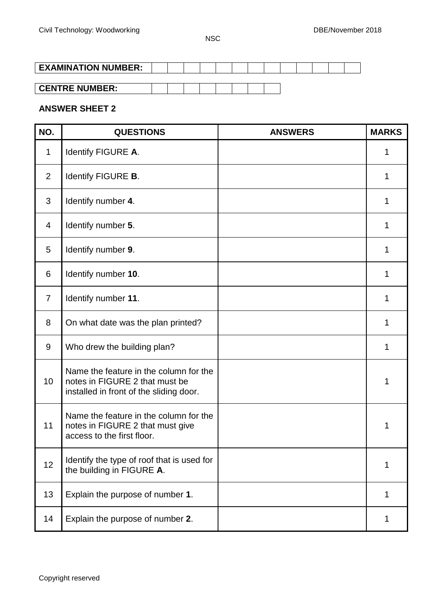# **EXAMINATION NUMBER:**

| <b>CENTRE NUMBER:</b> |
|-----------------------|
|-----------------------|

## **ANSWER SHEET 2**

| NO.            | <b>QUESTIONS</b>                                                                                                    | <b>ANSWERS</b> | <b>MARKS</b> |
|----------------|---------------------------------------------------------------------------------------------------------------------|----------------|--------------|
| 1              | Identify FIGURE A.                                                                                                  |                | 1            |
| 2              | Identify FIGURE B.                                                                                                  |                | 1            |
| 3              | Identify number 4.                                                                                                  |                | 1            |
| $\overline{4}$ | Identify number 5.                                                                                                  |                | 1            |
| 5              | Identify number 9.                                                                                                  |                | 1            |
| 6              | Identify number 10.                                                                                                 |                | 1            |
| $\overline{7}$ | Identify number 11.                                                                                                 |                | 1            |
| 8              | On what date was the plan printed?                                                                                  |                | 1            |
| 9              | Who drew the building plan?                                                                                         |                | 1            |
| 10             | Name the feature in the column for the<br>notes in FIGURE 2 that must be<br>installed in front of the sliding door. |                | 1            |
| 11             | Name the feature in the column for the<br>notes in FIGURE 2 that must give<br>access to the first floor.            |                | 1            |
| 12             | Identify the type of roof that is used for<br>the building in FIGURE A.                                             |                | 1            |
| 13             | Explain the purpose of number 1.                                                                                    |                | 1            |
| 14             | Explain the purpose of number 2.                                                                                    |                | 1            |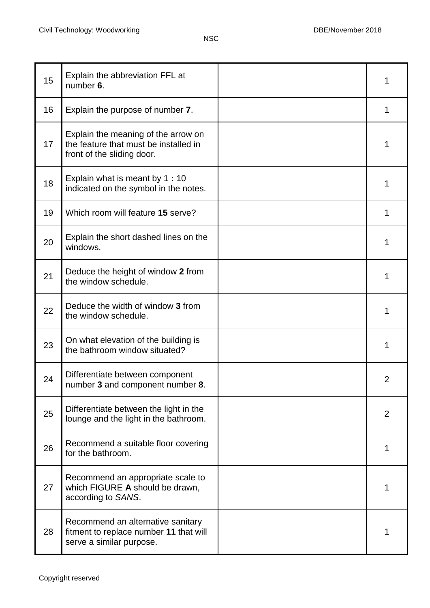| 15 | Explain the abbreviation FFL at<br>number 6.                                                               | 1              |
|----|------------------------------------------------------------------------------------------------------------|----------------|
| 16 | Explain the purpose of number 7.                                                                           | 1              |
| 17 | Explain the meaning of the arrow on<br>the feature that must be installed in<br>front of the sliding door. | 1              |
| 18 | Explain what is meant by 1:10<br>indicated on the symbol in the notes.                                     | 1              |
| 19 | Which room will feature 15 serve?                                                                          | 1              |
| 20 | Explain the short dashed lines on the<br>windows.                                                          | 1              |
| 21 | Deduce the height of window 2 from<br>the window schedule.                                                 | 1              |
| 22 | Deduce the width of window 3 from<br>the window schedule.                                                  | 1              |
| 23 | On what elevation of the building is<br>the bathroom window situated?                                      | 1              |
| 24 | Differentiate between component<br>number 3 and component number 8.                                        | $\overline{2}$ |
| 25 | Differentiate between the light in the<br>lounge and the light in the bathroom.                            | $\overline{2}$ |
| 26 | Recommend a suitable floor covering<br>for the bathroom.                                                   | 1              |
| 27 | Recommend an appropriate scale to<br>which FIGURE A should be drawn,<br>according to SANS.                 | 1              |
| 28 | Recommend an alternative sanitary<br>fitment to replace number 11 that will<br>serve a similar purpose.    |                |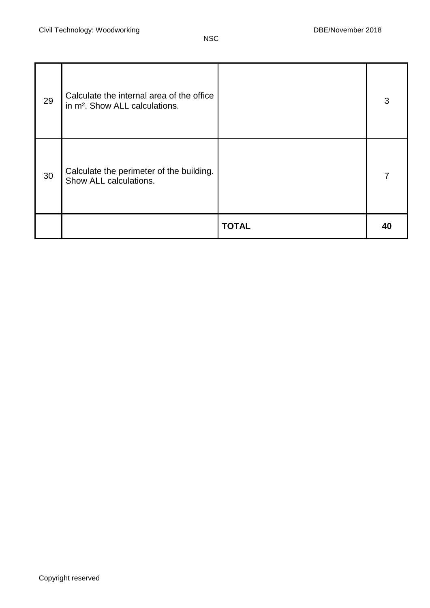| 29 | Calculate the internal area of the office<br>in m <sup>2</sup> . Show ALL calculations. |              | 3  |
|----|-----------------------------------------------------------------------------------------|--------------|----|
| 30 | Calculate the perimeter of the building.<br>Show ALL calculations.                      |              |    |
|    |                                                                                         | <b>TOTAL</b> | 40 |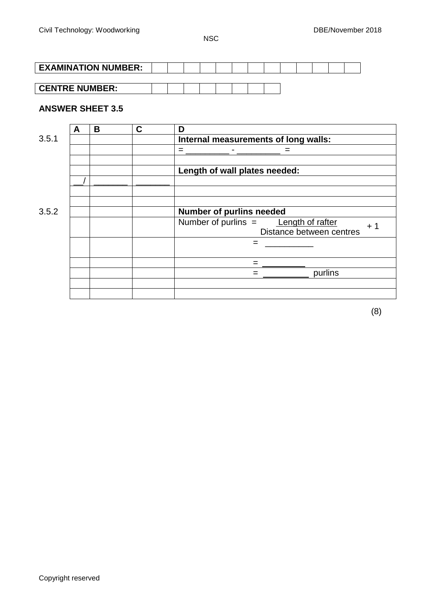| <b>EXAMINATION NUMBER:</b> |  |  |  |  |  |  |  |
|----------------------------|--|--|--|--|--|--|--|
|                            |  |  |  |  |  |  |  |
| <b>CENTRE NUMBER:</b>      |  |  |  |  |  |  |  |

#### **ANSWER SHEET 3.5**

| A | B | C | D                                                                        |
|---|---|---|--------------------------------------------------------------------------|
|   |   |   | Internal measurements of long walls:                                     |
|   |   |   | $=$                                                                      |
|   |   |   | Length of wall plates needed:                                            |
|   |   |   |                                                                          |
|   |   |   | Number of purlins needed                                                 |
|   |   |   | Number of purlins = Length of rafter<br>$+1$<br>Distance between centres |
|   |   |   |                                                                          |
|   |   |   | =                                                                        |
|   |   |   | purlins                                                                  |
|   |   |   |                                                                          |
|   |   |   |                                                                          |

(8)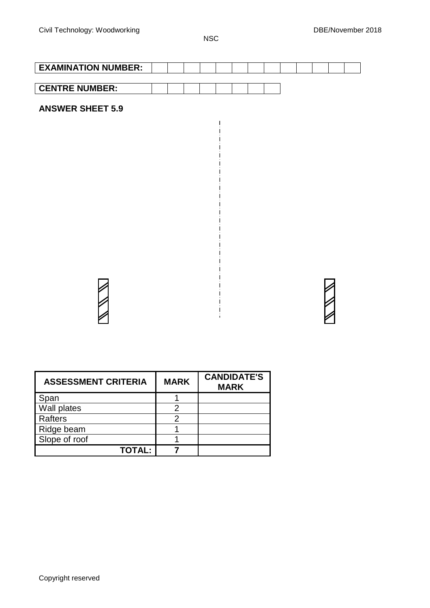**NSC** 

 $\overline{\phantom{a}}$  $\overline{1}$ 

 $\mathbf{I}$ 

 $\overline{\phantom{a}}$  $\overline{\phantom{a}}$  $\overline{\phantom{a}}$ 

| <b>EXAMINATION NUMBER:</b> |  |  |  |  |  |  |  |
|----------------------------|--|--|--|--|--|--|--|
|                            |  |  |  |  |  |  |  |
| <b>CENTRE NUMBER:</b>      |  |  |  |  |  |  |  |
| <b>ANSWER SHEET 5.9</b>    |  |  |  |  |  |  |  |

| <b>ASSESSMENT CRITERIA</b> | <b>MARK</b> | <b>CANDIDATE'S</b><br><b>MARK</b> |
|----------------------------|-------------|-----------------------------------|
| Span                       |             |                                   |
| Wall plates                |             |                                   |
| Rafters                    |             |                                   |
| Ridge beam                 |             |                                   |
| Slope of roof              |             |                                   |
| <b>TOTAL:</b>              |             |                                   |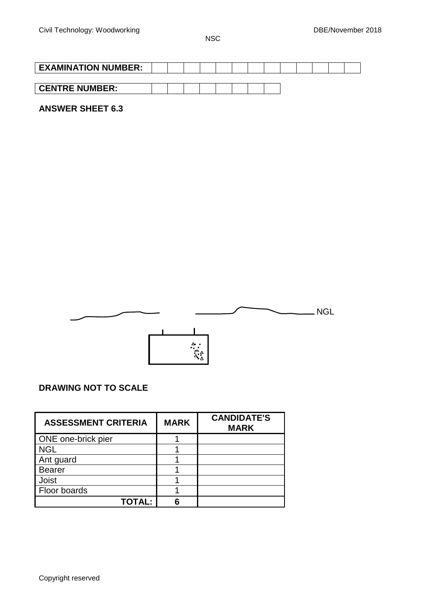| <b>EXAMINATION NUMBER:</b> |  |  |  |  |  |  |  |
|----------------------------|--|--|--|--|--|--|--|
|                            |  |  |  |  |  |  |  |
| <b>CENTRE NUMBER:</b>      |  |  |  |  |  |  |  |

## **ANSWER SHEET 6.3**



# **DRAWING NOT TO SCALE**

| <b>ASSESSMENT CRITERIA</b> | <b>MARK</b> | <b>CANDIDATE'S</b><br><b>MARK</b> |
|----------------------------|-------------|-----------------------------------|
| ONE one-brick pier         |             |                                   |
| <b>NGL</b>                 |             |                                   |
| Ant guard                  |             |                                   |
| <b>Bearer</b>              |             |                                   |
| Joist                      |             |                                   |
| Floor boards               |             |                                   |
| <b>TOTAL:</b>              |             |                                   |